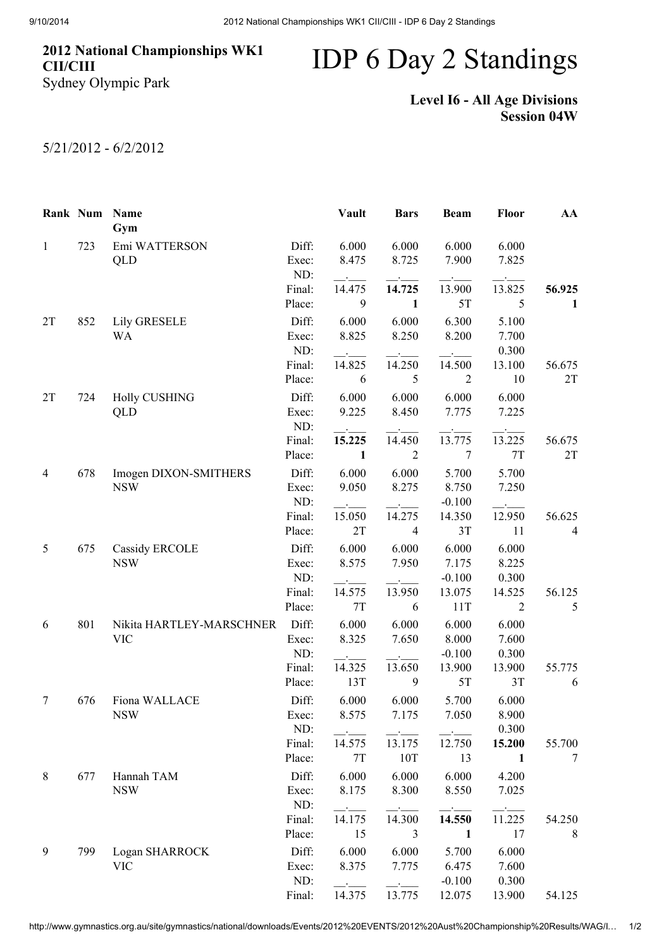## 2012 National Championships WK1 CII/CIII Sydney Olympic Park

## IDP 6 Day 2 Standings

## Level I6 - All Age Divisions Session 04W

## 5/21/2012 - 6/2/2012

|              | Rank Num | <b>Name</b><br>Gym                     |                       | Vault          | <b>Bars</b>    | <b>Beam</b>              | Floor           | AA             |
|--------------|----------|----------------------------------------|-----------------------|----------------|----------------|--------------------------|-----------------|----------------|
| $\mathbf{1}$ | 723      | Emi WATTERSON<br>QLD                   | Diff:<br>Exec:<br>ND: | 6.000<br>8.475 | 6.000<br>8.725 | 6.000<br>7.900           | 6.000<br>7.825  |                |
|              |          |                                        | Final:                | 14.475         | 14.725         | 13.900                   | 13.825          | 56.925         |
|              |          |                                        | Place:                | 9              | $\mathbf{1}$   | 5T                       | 5               | 1              |
| 2T           | 852      | <b>Lily GRESELE</b><br>WA              | Diff:<br>Exec:        | 6.000<br>8.825 | 6.000<br>8.250 | 6.300<br>8.200           | 5.100<br>7.700  |                |
|              |          |                                        | ND:                   |                |                |                          | 0.300           |                |
|              |          |                                        | Final:<br>Place:      | 14.825<br>6    | 14.250<br>5    | 14.500<br>$\overline{2}$ | 13.100<br>10    | 56.675<br>2T   |
|              |          |                                        | Diff:                 |                |                |                          |                 |                |
| 2T           | 724      | <b>Holly CUSHING</b><br>QLD            | Exec:<br>ND:          | 6.000<br>9.225 | 6.000<br>8.450 | 6.000<br>7.775           | 6.000<br>7.225  |                |
|              |          |                                        | Final:                | 15.225         | 14.450         | 13.775                   | 13.225          | 56.675         |
|              |          |                                        | Place:                | $\mathbf{1}$   | $\overline{2}$ | 7                        | $7\mathrm{T}$   | 2T             |
| 4            | 678      | Imogen DIXON-SMITHERS<br><b>NSW</b>    | Diff:<br>Exec:        | 6.000<br>9.050 | 6.000<br>8.275 | 5.700<br>8.750           | 5.700<br>7.250  |                |
|              |          |                                        | ND:                   |                |                | $-0.100$                 |                 |                |
|              |          |                                        | Final:                | 15.050         | 14.275         | 14.350                   | 12.950          | 56.625         |
| 5            |          |                                        | Place:                | 2T             | $\overline{4}$ | 3T                       | 11              | $\overline{4}$ |
|              | 675      | Cassidy ERCOLE<br><b>NSW</b>           | Diff:<br>Exec:        | 6.000<br>8.575 | 6.000<br>7.950 | 6.000<br>7.175           | 6.000<br>8.225  |                |
|              |          |                                        | ND:<br>Final:         | 14.575         | 13.950         | $-0.100$<br>13.075       | 0.300<br>14.525 | 56.125         |
|              |          |                                        | Place:                | $7\mathrm{T}$  | 6              | 11T                      | 2               | 5              |
| 6            | 801      | Nikita HARTLEY-MARSCHNER<br><b>VIC</b> | Diff:<br>Exec:        | 6.000<br>8.325 | 6.000<br>7.650 | 6.000<br>8.000           | 6.000<br>7.600  |                |
|              |          |                                        | ND:                   |                |                | $-0.100$                 | 0.300           |                |
|              |          |                                        | Final:<br>Place:      | 14.325<br>13T  | 13.650<br>9    | 13.900<br>5T             | 13.900<br>3T    | 55.775<br>6    |
| 7            | 676      | Fiona WALLACE<br><b>NSW</b>            | Diff:<br>Exec:        | 6.000<br>8.575 | 6.000<br>7.175 | 5.700<br>7.050           | 6.000<br>8.900  |                |
|              |          |                                        | ND:                   |                |                |                          | 0.300           |                |
|              |          |                                        | Final:                | 14.575<br>7T   | 13.175<br>10T  | 12.750                   | 15.200<br>1     | 55.700<br>7    |
|              |          |                                        | Place:                |                |                | 13                       |                 |                |
| 8            | 677      | Hannah TAM<br><b>NSW</b>               | Diff:<br>Exec:<br>ND: | 6.000<br>8.175 | 6.000<br>8.300 | 6.000<br>8.550           | 4.200<br>7.025  |                |
|              |          |                                        | Final:                | 14.175         | 14.300         | 14.550                   | 11.225          | 54.250         |
|              |          |                                        | Place:                | 15             | 3              | 1                        | 17              | 8              |
| 9            | 799      | Logan SHARROCK                         | Diff:                 | 6.000          | 6.000          | 5.700                    | 6.000           |                |
|              |          | <b>VIC</b>                             | Exec:                 | 8.375          | 7.775          | 6.475                    | 7.600           |                |
|              |          |                                        | ND:                   |                |                | $-0.100$                 | 0.300           |                |
|              |          |                                        | Final:                | 14.375         | 13.775         | 12.075                   | 13.900          | 54.125         |